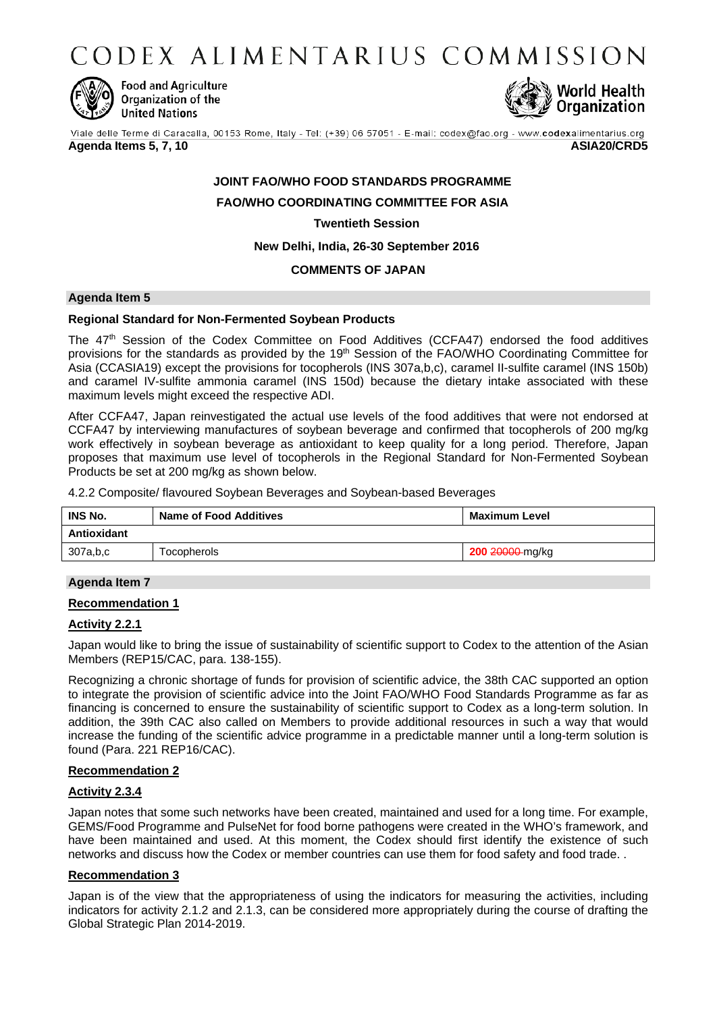CODEX ALIMENTARIUS COMMISSION



**Food and Agriculture** Organization of the **United Nations** 



Viale delle Terme di Caracalla, 00153 Rome, Italy - Tel: (+39) 06 57051 - E-mail: codex@fao.org - www.codexalimentarius.org

**Agenda Items 5, 7, 10 ASIA20/CRD5**

# **JOINT FAO/WHO FOOD STANDARDS PROGRAMME FAO/WHO COORDINATING COMMITTEE FOR ASIA**

**Twentieth Session**

**New Delhi, India, 26-30 September 2016**

## **COMMENTS OF JAPAN**

## **Agenda Item 5**

## **Regional Standard for Non-Fermented Soybean Products**

The 47<sup>th</sup> Session of the Codex Committee on Food Additives (CCFA47) endorsed the food additives provisions for the standards as provided by the 19th Session of the FAO/WHO Coordinating Committee for Asia (CCASIA19) except the provisions for tocopherols (INS 307a,b,c), caramel II-sulfite caramel (INS 150b) and caramel IV-sulfite ammonia caramel (INS 150d) because the dietary intake associated with these maximum levels might exceed the respective ADI.

After CCFA47, Japan reinvestigated the actual use levels of the food additives that were not endorsed at CCFA47 by interviewing manufactures of soybean beverage and confirmed that tocopherols of 200 mg/kg work effectively in soybean beverage as antioxidant to keep quality for a long period. Therefore, Japan proposes that maximum use level of tocopherols in the Regional Standard for Non-Fermented Soybean Products be set at 200 mg/kg as shown below.

4.2.2 Composite/ flavoured Soybean Beverages and Soybean-based Beverages

| <b>INS No.</b> | <b>Name of Food Additives</b> | Maximum Level          |
|----------------|-------------------------------|------------------------|
| Antioxidant    |                               |                        |
| 307a,b,c       | <b>Focopherols</b>            | <b>200 20000-mg/kg</b> |

## **Agenda Item 7**

## **Recommendation 1**

## **Activity 2.2.1**

Japan would like to bring the issue of sustainability of scientific support to Codex to the attention of the Asian Members (REP15/CAC, para. 138-155).

Recognizing a chronic shortage of funds for provision of scientific advice, the 38th CAC supported an option to integrate the provision of scientific advice into the Joint FAO/WHO Food Standards Programme as far as financing is concerned to ensure the sustainability of scientific support to Codex as a long-term solution. In addition, the 39th CAC also called on Members to provide additional resources in such a way that would increase the funding of the scientific advice programme in a predictable manner until a long-term solution is found (Para. 221 REP16/CAC).

## **Recommendation 2**

## **Activity 2.3.4**

Japan notes that some such networks have been created, maintained and used for a long time. For example, GEMS/Food Programme and PulseNet for food borne pathogens were created in the WHO's framework, and have been maintained and used. At this moment, the Codex should first identify the existence of such networks and discuss how the Codex or member countries can use them for food safety and food trade. .

## **Recommendation 3**

Japan is of the view that the appropriateness of using the indicators for measuring the activities, including indicators for activity 2.1.2 and 2.1.3, can be considered more appropriately during the course of drafting the Global Strategic Plan 2014-2019.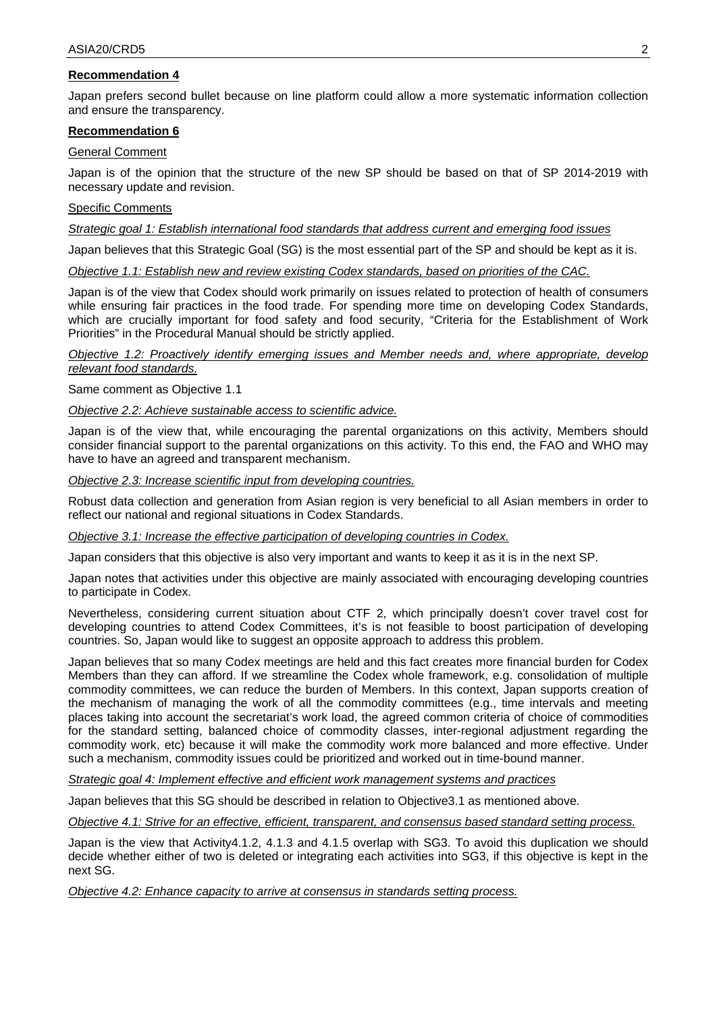## **Recommendation 4**

Japan prefers second bullet because on line platform could allow a more systematic information collection and ensure the transparency.

#### **Recommendation 6**

#### General Comment

Japan is of the opinion that the structure of the new SP should be based on that of SP 2014-2019 with necessary update and revision.

## Specific Comments

*Strategic goal 1: Establish international food standards that address current and emerging food issues*

Japan believes that this Strategic Goal (SG) is the most essential part of the SP and should be kept as it is.

*Objective 1.1: Establish new and review existing Codex standards, based on priorities of the CAC.*

Japan is of the view that Codex should work primarily on issues related to protection of health of consumers while ensuring fair practices in the food trade. For spending more time on developing Codex Standards, which are crucially important for food safety and food security, "Criteria for the Establishment of Work Priorities" in the Procedural Manual should be strictly applied.

*Objective 1.2: Proactively identify emerging issues and Member needs and, where appropriate, develop relevant food standards.*

Same comment as Objective 1.1

*Objective 2.2: Achieve sustainable access to scientific advice.*

Japan is of the view that, while encouraging the parental organizations on this activity, Members should consider financial support to the parental organizations on this activity. To this end, the FAO and WHO may have to have an agreed and transparent mechanism.

*Objective 2.3: Increase scientific input from developing countries.*

Robust data collection and generation from Asian region is very beneficial to all Asian members in order to reflect our national and regional situations in Codex Standards.

*Objective 3.1: Increase the effective participation of developing countries in Codex.*

Japan considers that this objective is also very important and wants to keep it as it is in the next SP.

Japan notes that activities under this objective are mainly associated with encouraging developing countries to participate in Codex.

Nevertheless, considering current situation about CTF 2, which principally doesn't cover travel cost for developing countries to attend Codex Committees, it's is not feasible to boost participation of developing countries. So, Japan would like to suggest an opposite approach to address this problem.

Japan believes that so many Codex meetings are held and this fact creates more financial burden for Codex Members than they can afford. If we streamline the Codex whole framework, e.g. consolidation of multiple commodity committees, we can reduce the burden of Members. In this context, Japan supports creation of the mechanism of managing the work of all the commodity committees (e.g., time intervals and meeting places taking into account the secretariat's work load, the agreed common criteria of choice of commodities for the standard setting, balanced choice of commodity classes, inter-regional adjustment regarding the commodity work, etc) because it will make the commodity work more balanced and more effective. Under such a mechanism, commodity issues could be prioritized and worked out in time-bound manner.

*Strategic goal 4: Implement effective and efficient work management systems and practices*

Japan believes that this SG should be described in relation to Objective3.1 as mentioned above.

*Objective 4.1: Strive for an effective, efficient, transparent, and consensus based standard setting process.*

Japan is the view that Activity4.1.2, 4.1.3 and 4.1.5 overlap with SG3. To avoid this duplication we should decide whether either of two is deleted or integrating each activities into SG3, if this objective is kept in the next SG.

*Objective 4.2: Enhance capacity to arrive at consensus in standards setting process.*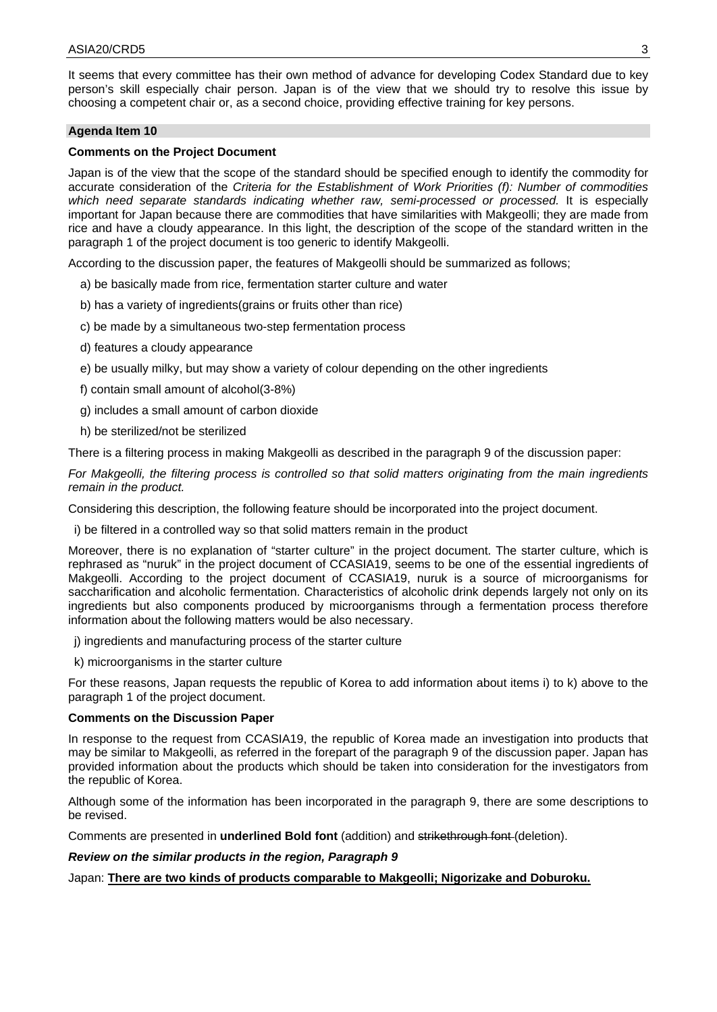It seems that every committee has their own method of advance for developing Codex Standard due to key person's skill especially chair person. Japan is of the view that we should try to resolve this issue by choosing a competent chair or, as a second choice, providing effective training for key persons.

## **Agenda Item 10**

## **Comments on the Project Document**

Japan is of the view that the scope of the standard should be specified enough to identify the commodity for accurate consideration of the *Criteria for the Establishment of Work Priorities (f): Number of commodities which need separate standards indicating whether raw, semi-processed or processed.* It is especially important for Japan because there are commodities that have similarities with Makgeolli; they are made from rice and have a cloudy appearance. In this light, the description of the scope of the standard written in the paragraph 1 of the project document is too generic to identify Makgeolli.

According to the discussion paper, the features of Makgeolli should be summarized as follows;

- a) be basically made from rice, fermentation starter culture and water
- b) has a variety of ingredients(grains or fruits other than rice)
- c) be made by a simultaneous two-step fermentation process
- d) features a cloudy appearance
- e) be usually milky, but may show a variety of colour depending on the other ingredients
- f) contain small amount of alcohol(3-8%)
- g) includes a small amount of carbon dioxide
- h) be sterilized/not be sterilized

There is a filtering process in making Makgeolli as described in the paragraph 9 of the discussion paper:

*For Makgeolli, the filtering process is controlled so that solid matters originating from the main ingredients remain in the product.*

Considering this description, the following feature should be incorporated into the project document.

i) be filtered in a controlled way so that solid matters remain in the product

Moreover, there is no explanation of "starter culture" in the project document. The starter culture, which is rephrased as "nuruk" in the project document of CCASIA19, seems to be one of the essential ingredients of Makgeolli. According to the project document of CCASIA19, nuruk is a source of microorganisms for saccharification and alcoholic fermentation. Characteristics of alcoholic drink depends largely not only on its ingredients but also components produced by microorganisms through a fermentation process therefore information about the following matters would be also necessary.

j) ingredients and manufacturing process of the starter culture

k) microorganisms in the starter culture

For these reasons, Japan requests the republic of Korea to add information about items i) to k) above to the paragraph 1 of the project document.

#### **Comments on the Discussion Paper**

In response to the request from CCASIA19, the republic of Korea made an investigation into products that may be similar to Makgeolli, as referred in the forepart of the paragraph 9 of the discussion paper. Japan has provided information about the products which should be taken into consideration for the investigators from the republic of Korea.

Although some of the information has been incorporated in the paragraph 9, there are some descriptions to be revised.

Comments are presented in **underlined Bold font** (addition) and strikethrough font (deletion).

## *Review on the similar products in the region, Paragraph 9*

Japan: **There are two kinds of products comparable to Makgeolli; Nigorizake and Doburoku.**